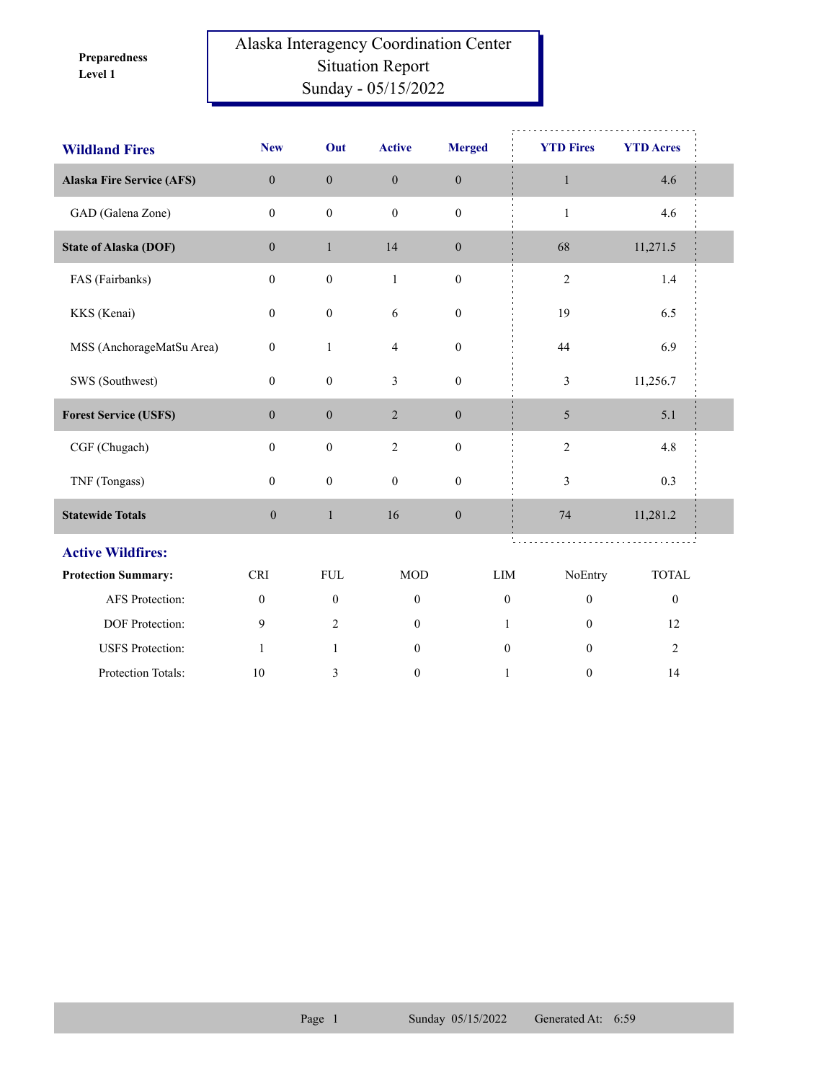**Level 1 Preparedness** 

## Alaska Interagency Coordination Center Situation Report Sunday - 05/15/2022

| <b>Wildland Fires</b>            | <b>New</b>       | Out              | <b>Active</b>    | <b>Merged</b>    | <b>YTD Fires</b> | <b>YTD Acres</b> |  |
|----------------------------------|------------------|------------------|------------------|------------------|------------------|------------------|--|
| <b>Alaska Fire Service (AFS)</b> | $\mathbf{0}$     | $\mathbf{0}$     | $\boldsymbol{0}$ | $\mathbf{0}$     | $\mathbf{1}$     | 4.6              |  |
| GAD (Galena Zone)                | $\mathbf{0}$     | $\boldsymbol{0}$ | $\theta$         | $\mathbf{0}$     | $\mathbf{1}$     | 4.6              |  |
| <b>State of Alaska (DOF)</b>     | $\mathbf{0}$     | $\mathbf{1}$     | 14               | $\boldsymbol{0}$ | 68               | 11,271.5         |  |
| FAS (Fairbanks)                  | $\boldsymbol{0}$ | $\boldsymbol{0}$ | $\mathbf{1}$     | $\boldsymbol{0}$ | $\sqrt{2}$       | 1.4              |  |
| KKS (Kenai)                      | $\mathbf{0}$     | $\boldsymbol{0}$ | 6                | $\boldsymbol{0}$ | 19               | 6.5              |  |
| MSS (AnchorageMatSu Area)        | $\boldsymbol{0}$ | $\mathbf{1}$     | $\overline{4}$   | $\boldsymbol{0}$ | 44               | 6.9              |  |
| SWS (Southwest)                  | $\boldsymbol{0}$ | $\boldsymbol{0}$ | 3                | $\boldsymbol{0}$ | 3                | 11,256.7         |  |
| <b>Forest Service (USFS)</b>     | $\mathbf{0}$     | $\boldsymbol{0}$ | $\overline{2}$   | $\boldsymbol{0}$ | 5                | 5.1              |  |
| CGF (Chugach)                    | $\mathbf{0}$     | $\boldsymbol{0}$ | $\overline{2}$   | $\boldsymbol{0}$ | $\sqrt{2}$       | 4.8              |  |
| TNF (Tongass)                    | $\overline{0}$   | $\boldsymbol{0}$ | $\mathbf{0}$     | $\boldsymbol{0}$ | 3                | 0.3              |  |
| <b>Statewide Totals</b>          | $\boldsymbol{0}$ | $\mathbf{1}$     | 16               | $\boldsymbol{0}$ | 74               | 11,281.2         |  |
| <b>Active Wildfires:</b>         |                  |                  |                  |                  |                  |                  |  |
| <b>Protection Summary:</b>       | <b>CRI</b>       | <b>FUL</b>       | <b>MOD</b>       | LIM              | NoEntry          | <b>TOTAL</b>     |  |
| AFS Protection:                  | $\mathbf{0}$     | $\boldsymbol{0}$ | $\boldsymbol{0}$ | $\mathbf{0}$     | $\mathbf{0}$     | $\boldsymbol{0}$ |  |
| DOF Protection:                  | 9                | $\overline{2}$   | $\mathbf{0}$     | 1                | $\mathbf{0}$     | 12               |  |
| <b>USFS</b> Protection:          | $\mathbf{1}$     | $\mathbf{1}$     | $\mathbf{0}$     | $\theta$         | $\theta$         | $\mathfrak{2}$   |  |
| Protection Totals:               | 10               | 3                | $\mathbf{0}$     | $\mathbf{1}$     | $\mathbf{0}$     | 14               |  |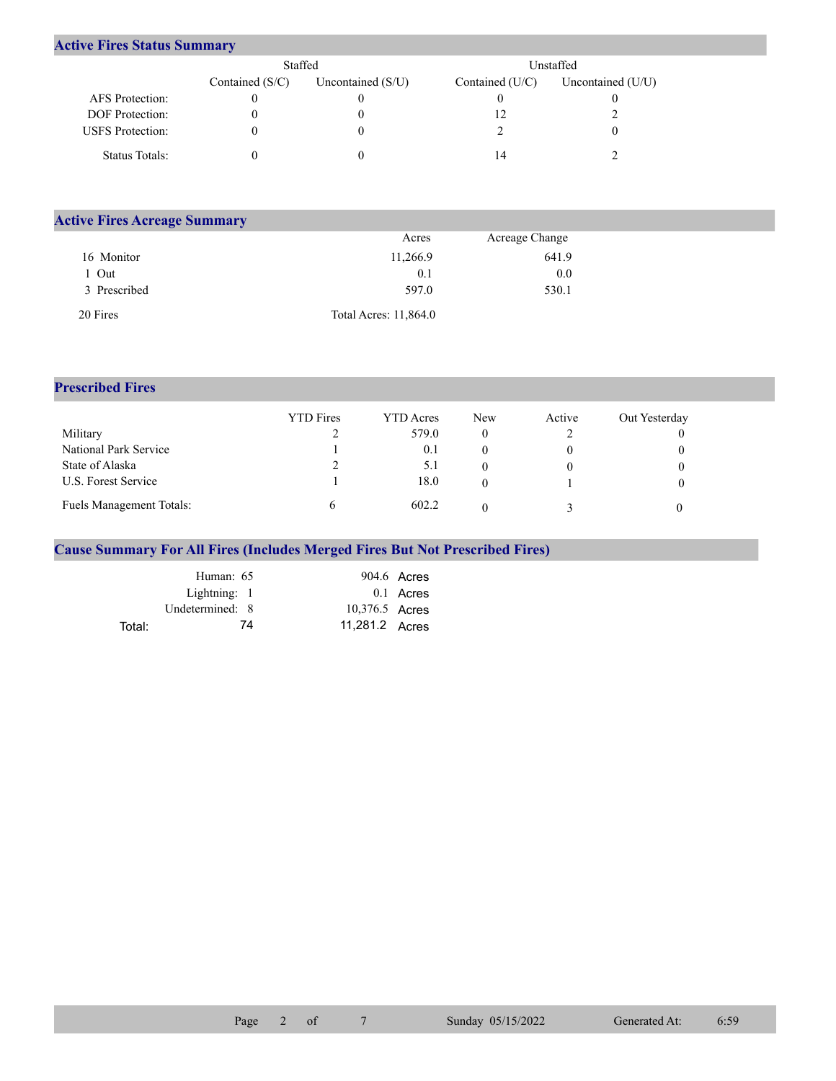## **Active Fires Status Summary**

|                         | Staffed           |                     | Unstaffed       |                   |  |  |
|-------------------------|-------------------|---------------------|-----------------|-------------------|--|--|
|                         | Contained $(S/C)$ | Uncontained $(S/U)$ | Contained (U/C) | Uncontained (U/U) |  |  |
| AFS Protection:         |                   |                     |                 |                   |  |  |
| <b>DOF</b> Protection:  |                   |                     |                 |                   |  |  |
| <b>USFS</b> Protection: |                   |                     |                 |                   |  |  |
| Status Totals:          |                   |                     | 14              |                   |  |  |

| <b>Active Fires Acreage Summary</b> |                       |                |  |
|-------------------------------------|-----------------------|----------------|--|
|                                     | Acres                 | Acreage Change |  |
| 16 Monitor                          | 11,266.9              | 641.9          |  |
| Out                                 | 0.1                   | 0.0            |  |
| 3 Prescribed                        | 597.0                 | 530.1          |  |
| 20 Fires                            | Total Acres: 11,864.0 |                |  |

## **Prescribed Fires**

|                                 | <b>YTD</b> Fires | <b>YTD</b> Acres | New | Active | Out Yesterday |
|---------------------------------|------------------|------------------|-----|--------|---------------|
| Military                        |                  | 579.0            |     |        |               |
| National Park Service           |                  | 0.1              |     |        |               |
| State of Alaska                 | ∠                | 5.1              |     |        |               |
| U.S. Forest Service             |                  | 18.0             |     |        |               |
| <b>Fuels Management Totals:</b> |                  | 602.2            |     |        |               |

## **Cause Summary For All Fires (Includes Merged Fires But Not Prescribed Fires)**

|        | Human: 65       |                | $904.6$ Acres |
|--------|-----------------|----------------|---------------|
|        | Lightning: 1    |                | 0.1 Acres     |
|        | Undetermined: 8 | 10,376.5 Acres |               |
| Total: | 74              | 11,281.2 Acres |               |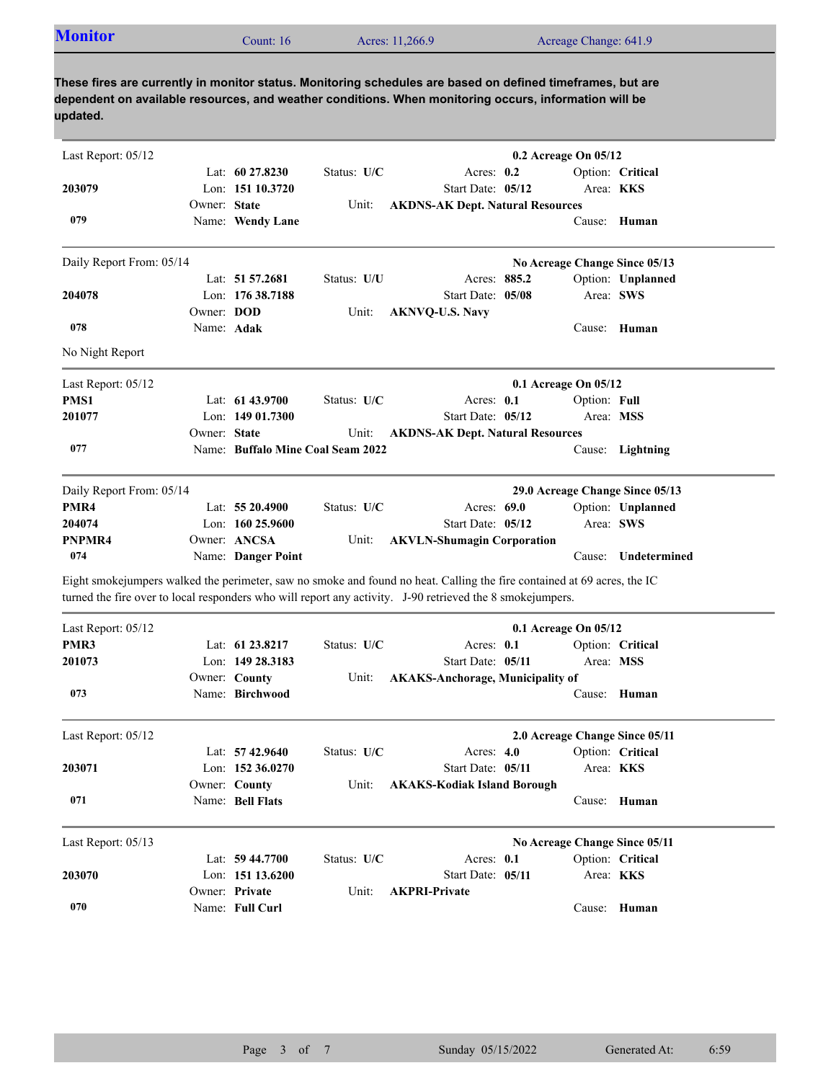| <b>Monitor</b> | Count: 16 | Acres: 11,266.9 | Acreage Change: 641.9 |  |
|----------------|-----------|-----------------|-----------------------|--|
|----------------|-----------|-----------------|-----------------------|--|

**These fires are currently in monitor status. Monitoring schedules are based on defined timeframes, but are dependent on available resources, and weather conditions. When monitoring occurs, information will be updated.**

| Last Report: 05/12       |                   |                                   |             |                                                                                                                                                                                                                                      | $0.2$ Acreage On $05/12$ |              |                                 |
|--------------------------|-------------------|-----------------------------------|-------------|--------------------------------------------------------------------------------------------------------------------------------------------------------------------------------------------------------------------------------------|--------------------------|--------------|---------------------------------|
|                          |                   | Lat: $60\,27.8230$                | Status: U/C | Acres: 0.2                                                                                                                                                                                                                           |                          |              | Option: Critical                |
| 203079                   |                   | Lon: 151 10.3720                  |             | Start Date: 05/12                                                                                                                                                                                                                    |                          |              | Area: KKS                       |
|                          | Owner: State      |                                   | Unit:       | <b>AKDNS-AK Dept. Natural Resources</b>                                                                                                                                                                                              |                          |              |                                 |
| 079                      |                   | Name: Wendy Lane                  |             |                                                                                                                                                                                                                                      |                          | Cause:       | Human                           |
| Daily Report From: 05/14 |                   |                                   |             |                                                                                                                                                                                                                                      |                          |              | No Acreage Change Since 05/13   |
|                          |                   | Lat: 51 57.2681                   | Status: U/U | Acres: 885.2                                                                                                                                                                                                                         |                          |              | Option: Unplanned               |
| 204078                   |                   | Lon: 176 38.7188                  |             | Start Date: 05/08                                                                                                                                                                                                                    |                          |              | Area: SWS                       |
|                          | Owner: <b>DOD</b> |                                   | Unit:       | <b>AKNVQ-U.S. Navy</b>                                                                                                                                                                                                               |                          |              |                                 |
| 078                      | Name: Adak        |                                   |             |                                                                                                                                                                                                                                      |                          | Cause:       | Human                           |
| No Night Report          |                   |                                   |             |                                                                                                                                                                                                                                      |                          |              |                                 |
| Last Report: 05/12       |                   |                                   |             |                                                                                                                                                                                                                                      | 0.1 Acreage On 05/12     |              |                                 |
| PMS1                     |                   | Lat: 61 43.9700                   | Status: U/C | Acres: $0.1$                                                                                                                                                                                                                         |                          | Option: Full |                                 |
| 201077                   |                   | Lon: $14901.7300$                 |             | Start Date: 05/12                                                                                                                                                                                                                    |                          |              | Area: MSS                       |
|                          | Owner: State      |                                   | Unit:       | <b>AKDNS-AK Dept. Natural Resources</b>                                                                                                                                                                                              |                          |              |                                 |
| 077                      |                   | Name: Buffalo Mine Coal Seam 2022 |             |                                                                                                                                                                                                                                      |                          |              | Cause: Lightning                |
| Daily Report From: 05/14 |                   |                                   |             |                                                                                                                                                                                                                                      |                          |              | 29.0 Acreage Change Since 05/13 |
| PMR4                     |                   | Lat: 55 20.4900                   | Status: U/C | Acres: 69.0                                                                                                                                                                                                                          |                          |              | Option: Unplanned               |
| 204074                   |                   | Lon: $16025.9600$                 |             | Start Date: 05/12                                                                                                                                                                                                                    |                          |              | Area: SWS                       |
| PNPMR4                   |                   | Owner: ANCSA                      | Unit:       | <b>AKVLN-Shumagin Corporation</b>                                                                                                                                                                                                    |                          |              |                                 |
| 074                      |                   | Name: Danger Point                |             |                                                                                                                                                                                                                                      |                          | Cause:       | Undetermined                    |
|                          |                   |                                   |             | Eight smokejumpers walked the perimeter, saw no smoke and found no heat. Calling the fire contained at 69 acres, the IC<br>turned the fire over to local responders who will report any activity. J-90 retrieved the 8 smokejumpers. |                          |              |                                 |
| Last Report: 05/12       |                   |                                   |             |                                                                                                                                                                                                                                      | 0.1 Acreage On 05/12     |              |                                 |
| PMR3                     |                   | Lat: 61 23.8217                   | Status: U/C | Acres: $0.1$                                                                                                                                                                                                                         |                          |              | Option: Critical                |
| 201073                   |                   | Lon: 149 28.3183                  |             | Start Date: 05/11                                                                                                                                                                                                                    |                          |              | Area: MSS                       |
|                          |                   | Owner: County                     | Unit:       | <b>AKAKS-Anchorage, Municipality of</b>                                                                                                                                                                                              |                          |              |                                 |
| 073                      |                   | Name: Birchwood                   |             |                                                                                                                                                                                                                                      |                          | Cause:       | Human                           |
| Last Report: 05/12       |                   |                                   |             |                                                                                                                                                                                                                                      |                          |              | 2.0 Acreage Change Since 05/11  |
|                          |                   | Lat: 57 42.9640                   | Status: U/C | Acres: 4.0                                                                                                                                                                                                                           |                          |              | Option: Critical                |
| 203071                   |                   | Lon: 152 36.0270                  |             | Start Date: 05/11                                                                                                                                                                                                                    |                          |              | Area: <b>KKS</b>                |
|                          |                   | Owner: County                     | Unit:       | <b>AKAKS-Kodiak Island Borough</b>                                                                                                                                                                                                   |                          |              |                                 |
| 071                      |                   | Name: Bell Flats                  |             |                                                                                                                                                                                                                                      |                          |              | Cause: Human                    |
| Last Report: 05/13       |                   |                                   |             |                                                                                                                                                                                                                                      |                          |              | No Acreage Change Since 05/11   |
|                          |                   | Lat: 59 44.7700                   | Status: U/C | Acres: 0.1                                                                                                                                                                                                                           |                          |              | Option: Critical                |
| 203070                   |                   | Lon: 151 13.6200                  |             | Start Date: 05/11                                                                                                                                                                                                                    |                          |              | Area: KKS                       |
|                          |                   | Owner: Private                    | Unit:       | <b>AKPRI-Private</b>                                                                                                                                                                                                                 |                          |              |                                 |
| 070                      |                   | Name: Full Curl                   |             |                                                                                                                                                                                                                                      |                          | Cause:       | Human                           |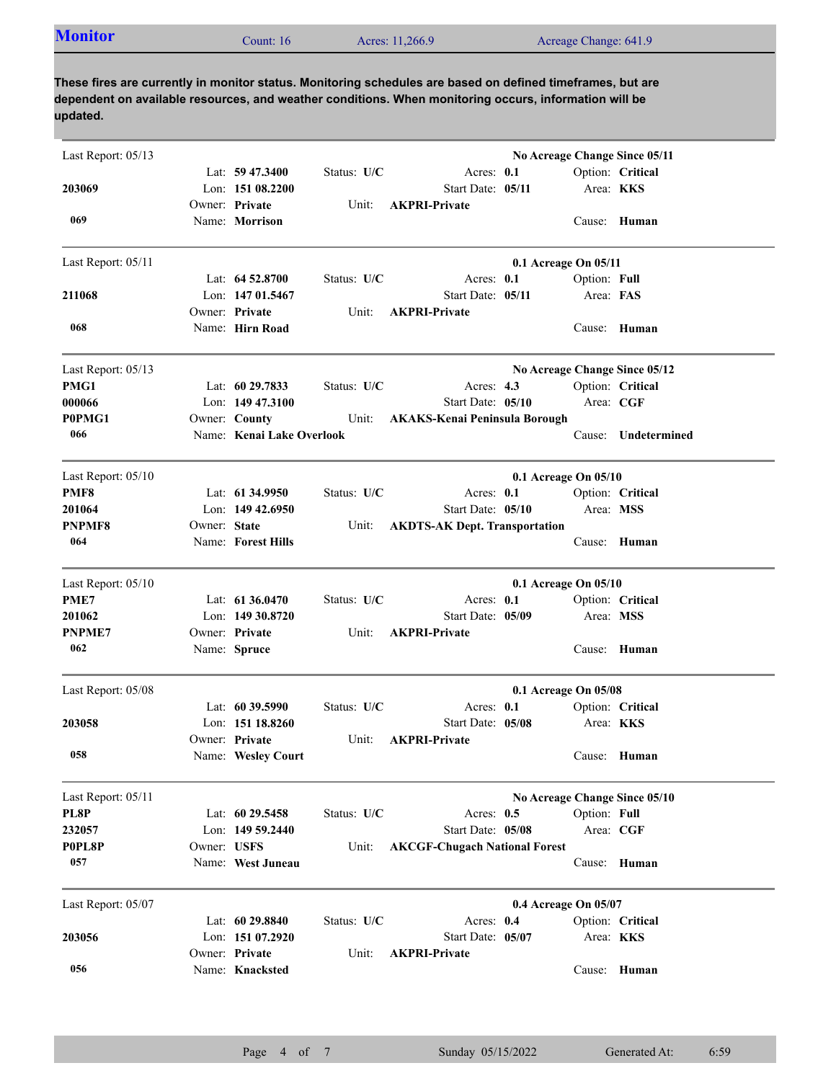| <b>Monitor</b> | Count: $16$ | Acres: 11,266.9 | Acreage Change: 641.9 |  |
|----------------|-------------|-----------------|-----------------------|--|
|----------------|-------------|-----------------|-----------------------|--|

**These fires are currently in monitor status. Monitoring schedules are based on defined timeframes, but are dependent on available resources, and weather conditions. When monitoring occurs, information will be updated.**

| Last Report: 05/13 |              |                           |               |                                      |                      |                  | No Acreage Change Since 05/11 |
|--------------------|--------------|---------------------------|---------------|--------------------------------------|----------------------|------------------|-------------------------------|
|                    |              | Lat: 59 47.3400           | Status: U/C   | Acres: $0.1$                         |                      |                  | Option: Critical              |
| 203069             |              | Lon: 151 08.2200          |               | Start Date: 05/11                    |                      | Area: <b>KKS</b> |                               |
|                    |              | Owner: Private            | Unit:         | <b>AKPRI-Private</b>                 |                      |                  |                               |
| 069                |              | Name: Morrison            |               |                                      |                      |                  | Cause: Human                  |
| Last Report: 05/11 |              |                           |               |                                      | 0.1 Acreage On 05/11 |                  |                               |
|                    |              | Lat: $64\,52.8700$        | Status: U/C   | Acres: $0.1$                         |                      | Option: Full     |                               |
| 211068             |              | Lon: $14701.5467$         |               | Start Date: 05/11                    |                      | Area: FAS        |                               |
|                    |              | Owner: Private            | Unit:         | <b>AKPRI-Private</b>                 |                      |                  |                               |
| 068                |              | Name: Hirn Road           |               |                                      |                      |                  | Cause: Human                  |
| Last Report: 05/13 |              |                           |               |                                      |                      |                  | No Acreage Change Since 05/12 |
| PMG1               |              | Lat: $6029.7833$          | Status: U/C   | Acres: $4.3$                         |                      |                  | Option: Critical              |
| 000066             |              | Lon: $14947.3100$         |               | Start Date: 05/10                    |                      | Area: CGF        |                               |
| P0PMG1             |              | Owner: County             | Unit:         | <b>AKAKS-Kenai Peninsula Borough</b> |                      |                  |                               |
| 066                |              | Name: Kenai Lake Overlook |               |                                      |                      | Cause:           | Undetermined                  |
| Last Report: 05/10 |              |                           |               |                                      | 0.1 Acreage On 05/10 |                  |                               |
| PMF8               |              | Lat: $61\,34.9950$        | Status: U/C   | Acres: 0.1                           |                      |                  | Option: Critical              |
| 201064             |              | Lon: $149\,42.6950$       |               | Start Date: 05/10                    |                      | Area: MSS        |                               |
| <b>PNPMF8</b>      | Owner: State |                           | Unit:         | <b>AKDTS-AK Dept. Transportation</b> |                      |                  |                               |
| 064                |              | Name: Forest Hills        |               |                                      |                      |                  | Cause: Human                  |
| Last Report: 05/10 |              |                           |               |                                      | 0.1 Acreage On 05/10 |                  |                               |
| PME7               |              | Lat: 61 36.0470           | Status: U/C   | Acres: 0.1                           |                      |                  | Option: Critical              |
| 201062             |              | Lon: 149 30.8720          |               | Start Date: 05/09                    |                      | Area: MSS        |                               |
| PNPME7             |              | Owner: Private            | Unit:         | <b>AKPRI-Private</b>                 |                      |                  |                               |
| 062                |              | Name: Spruce              |               |                                      |                      |                  | Cause: Human                  |
| Last Report: 05/08 |              |                           |               |                                      | 0.1 Acreage On 05/08 |                  |                               |
|                    |              | Lat: $6039.5990$          | Status: $U/C$ | Acres: $0.1$                         |                      |                  | Option: Critical              |
| 203058             |              | Lon: $15118.8260$         |               | Start Date: 05/08                    |                      | Area: <b>KKS</b> |                               |
|                    |              | Owner: Private            | Unit:         | <b>AKPRI-Private</b>                 |                      |                  |                               |
| 058                |              | Name: Wesley Court        |               |                                      |                      |                  | Cause: Human                  |
| Last Report: 05/11 |              |                           |               |                                      |                      |                  | No Acreage Change Since 05/10 |
| PL8P               |              | Lat: 60 29.5458           | Status: U/C   | Acres: $0.5$                         |                      | Option: Full     |                               |
| 232057             |              | Lon: 149 59.2440          |               | Start Date: 05/08                    |                      | Area: CGF        |                               |
| P0PL8P             | Owner: USFS  |                           | Unit:         | <b>AKCGF-Chugach National Forest</b> |                      |                  |                               |
| 057                |              | Name: West Juneau         |               |                                      |                      |                  | Cause: Human                  |
| Last Report: 05/07 |              |                           |               |                                      | 0.4 Acreage On 05/07 |                  |                               |
|                    |              | Lat: 60 29.8840           | Status: U/C   | Acres: 0.4                           |                      |                  | Option: Critical              |
| 203056             |              | Lon: 151 07.2920          |               | Start Date: 05/07                    |                      | Area: KKS        |                               |
|                    |              | Owner: Private            | Unit:         | <b>AKPRI-Private</b>                 |                      |                  |                               |
| 056                |              | Name: Knacksted           |               |                                      |                      |                  | Cause: Human                  |
|                    |              |                           |               |                                      |                      |                  |                               |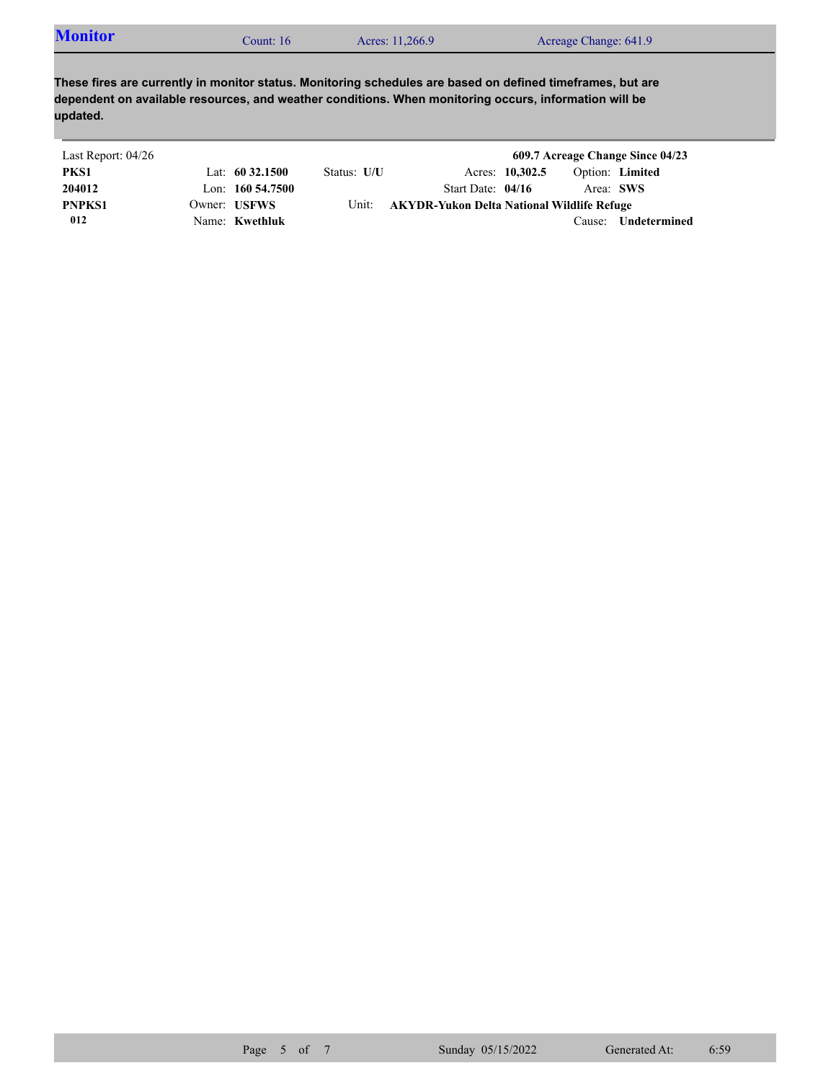| <b>Monitor</b><br>Acres: 11,266.9<br>Acreage Change: 641.9<br>$\mathcal$ Count: 16 |
|------------------------------------------------------------------------------------|
|------------------------------------------------------------------------------------|

**These fires are currently in monitor status. Monitoring schedules are based on defined timeframes, but are dependent on available resources, and weather conditions. When monitoring occurs, information will be updated.**

| Last Report: 04/26 |                     |             |                                            |                 |           | 609.7 Acreage Change Since 04/23 |
|--------------------|---------------------|-------------|--------------------------------------------|-----------------|-----------|----------------------------------|
| PKS1               | Lat: $60\,32.1500$  | Status: U/U |                                            | Acres: 10,302.5 |           | Option: Limited                  |
| 204012             | Lon: $160\,54.7500$ |             | Start Date: $04/16$                        |                 | Area: SWS |                                  |
| <b>PNPKS1</b>      | Owner: USFWS        | Unit:       | AKYDR-Yukon Delta National Wildlife Refuge |                 |           |                                  |
| 012                | Name: Kwethluk      |             |                                            |                 | Cause:    | Undetermined                     |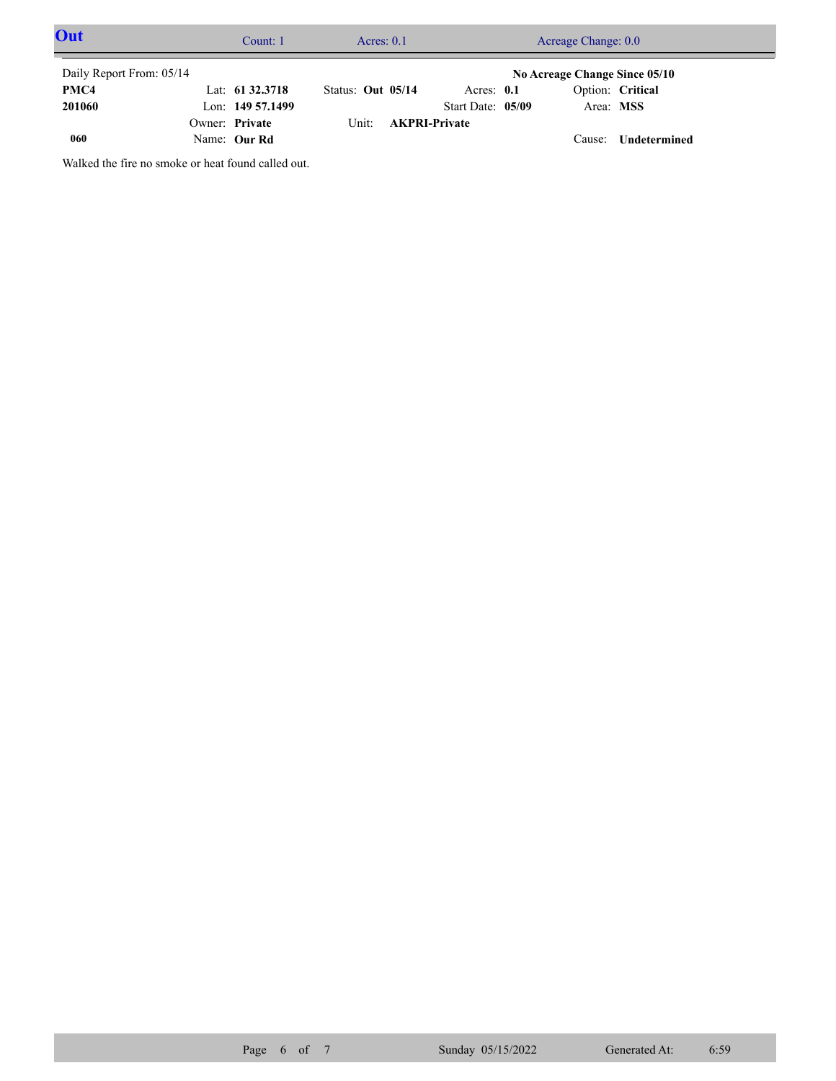| Out                      | Count: 1           |                   | Acres: $0.1$         | Acreage Change: 0.0 |  |                               |                     |  |
|--------------------------|--------------------|-------------------|----------------------|---------------------|--|-------------------------------|---------------------|--|
| Daily Report From: 05/14 |                    |                   |                      |                     |  | No Acreage Change Since 05/10 |                     |  |
| PMC4                     | Lat: $61\,32.3718$ | Status: Out 05/14 |                      | Acres: $0.1$        |  |                               | Option: Critical    |  |
| 201060                   | Lon: 149 57.1499   |                   |                      | Start Date: 05/09   |  | Area: MSS                     |                     |  |
|                          | Owner: Private     | Unit:             | <b>AKPRI-Private</b> |                     |  |                               |                     |  |
| 060                      | Name: Our Rd       |                   |                      |                     |  | Cause:                        | <b>Undetermined</b> |  |

Walked the fire no smoke or heat found called out.